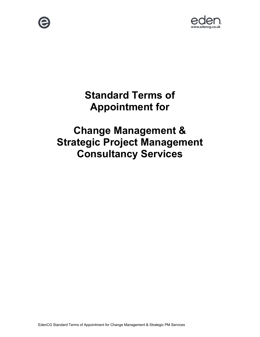



# **Standard Terms of Appointment for**

# **Change Management & Strategic Project Management Consultancy Services**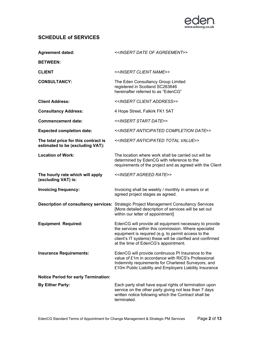

# **SCHEDULE of SERVICES**

| <b>Agreement dated:</b>                                                  | < <insert agreement="" date="" of="">&gt;</insert>                                                                                                                                                                                                                           |
|--------------------------------------------------------------------------|------------------------------------------------------------------------------------------------------------------------------------------------------------------------------------------------------------------------------------------------------------------------------|
| <b>BETWEEN:</b>                                                          |                                                                                                                                                                                                                                                                              |
| <b>CLIENT</b>                                                            | < <insert client="" name="">&gt;</insert>                                                                                                                                                                                                                                    |
| <b>CONSULTANCY:</b>                                                      | The Eden Consultancy Group Limited<br>registered in Scotland SC263646<br>hereinafter referred to as "EdenCG"                                                                                                                                                                 |
| <b>Client Address:</b>                                                   | < <insert address="" client="">&gt;</insert>                                                                                                                                                                                                                                 |
| <b>Consultancy Address:</b>                                              | 4 Hope Street, Falkirk FK1 5AT                                                                                                                                                                                                                                               |
| <b>Commencement date:</b>                                                | < <insert date="" start="">&gt;</insert>                                                                                                                                                                                                                                     |
| <b>Expected completion date:</b>                                         | < <insert anticipated="" completion="" date="">&gt;</insert>                                                                                                                                                                                                                 |
| The total price for this contract is<br>estimated to be (excluding VAT): | < <insert anticipated="" total="" value="">&gt;</insert>                                                                                                                                                                                                                     |
| <b>Location of Work:</b>                                                 | The location where work shall be carried out will be<br>determined by EdenCG with reference to the<br>requirements of the project and as agreed with the Client                                                                                                              |
| The hourly rate which will apply<br>(excluding VAT) is:                  | < <insert agreed="" rate="">&gt;</insert>                                                                                                                                                                                                                                    |
| <b>Invoicing frequency:</b>                                              | Invoicing shall be weekly / monthly in arrears or at<br>agreed project stages as agreed.                                                                                                                                                                                     |
|                                                                          | <b>Description of consultancy services: Strategic Project Management Consultancy Services</b><br>[More detailed description of services will be set out<br>within our letter of appointment]                                                                                 |
| <b>Equipment Required:</b>                                               | EdenCG will provide all equipment necessary to provide<br>the services within this commission. Where specialist<br>equipment is required (e.g. to permit access to the<br>client's IT systems) these will be clarified and confirmed<br>at the time of EdenCG's appointment. |
| <b>Insurance Requirements:</b>                                           | EdenCG will provide continuous PI Insurance to the<br>value of £1m in accordance with RICS's Professional<br>Indemnity requirements for Chartered Surveyors, and<br>£10m Public Liability and Employers Liability Insurance                                                  |
| <b>Notice Period for early Termination:</b>                              |                                                                                                                                                                                                                                                                              |
| <b>By Either Party:</b>                                                  | Each party shall have equal rights of termination upon<br>service on the other party giving not less than 7 days<br>written notice following which the Contract shall be<br>terminated.                                                                                      |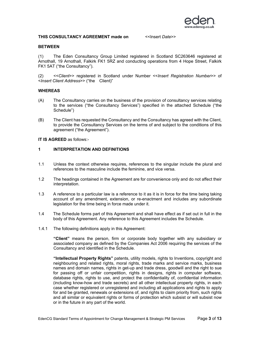

#### **THIS CONSULTANCY AGREEMENT made on**  $\le$  **< Insert** *Date***>>**

#### **BETWEEN**

(1) The Eden Consultancy Group Limited registered in Scotland SC263646 registered at Arnothall, 19 Arnothall, Falkirk FK1 5RZ and conducting operations from 4 Hope Street, Falkirk FK1 5AT ("the Consultancy").

(2) <<*Client*>> registered in Scotland under Number <<*Insert Registration Number*>> of <*Insert Client Address*>> ("the Client)"

#### **WHEREAS**

- (A) The Consultancy carries on the business of the provision of consultancy services relating to the services ("the Consultancy Services") specified in the attached Schedule ("the Schedule")
- (B) The Client has requested the Consultancy and the Consultancy has agreed with the Client, to provide the Consultancy Services on the terms of and subject to the conditions of this agreement ("the Agreement").

**IT IS AGREED** as follows:-

### **1 INTERPRETATION AND DEFINITIONS**

- 1.1 Unless the context otherwise requires, references to the singular include the plural and references to the masculine include the feminine, and vice versa.
- 1.2 The headings contained in the Agreement are for convenience only and do not affect their interpretation.
- 1.3 A reference to a particular law is a reference to it as it is in force for the time being taking account of any amendment, extension, or re-enactment and includes any subordinate legislation for the time being in force made under it.
- 1.4 The Schedule forms part of this Agreement and shall have effect as if set out in full in the body of this Agreement. Any reference to this Agreement includes the Schedule.
- 1.4.1 The following definitions apply in this Agreement:

**"Client"** means the person, firm or corporate body together with any subsidiary or associated company as defined by the Companies Act 2006 requiring the services of the Consultancy and identified in the Schedule.

**"Intellectual Property Rights"** patents, utility models, rights to Inventions, copyright and neighbouring and related rights, moral rights, trade marks and service marks, business names and domain names, rights in get-up and trade dress, goodwill and the right to sue for passing off or unfair competition, rights in designs, rights in computer software, database rights, rights to use, and protect the confidentiality of, confidential information (including know-how and trade secrets) and all other intellectual property rights, in each case whether registered or unregistered and including all applications and rights to apply for and be granted, renewals or extensions of, and rights to claim priority from, such rights and all similar or equivalent rights or forms of protection which subsist or will subsist now or in the future in any part of the world.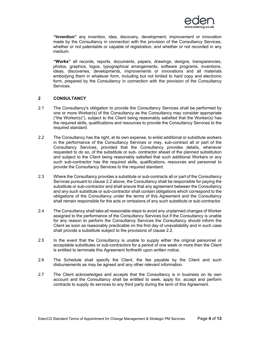

**"Invention"** any invention, idea, discovery, development, improvement or innovation made by the Consultancy in connection with the provision of the Consultancy Services, whether or not patentable or capable of registration, and whether or not recorded in any medium.

**"Works"** all records, reports, documents, papers, drawings, designs, transparencies, photos, graphics, logos, typographical arrangements, software programs, inventions, ideas, discoveries, developments, improvements or innovations and all materials embodying them in whatever form, including but not limited to hard copy and electronic form, prepared by the Consultancy in connection with the provision of the Consultancy Services.

#### **2 CONSULTANCY**

- 2.1 The Consultancy's obligation to provide the Consultancy Services shall be performed by one or more Worker(s) of the Consultancy as the Consultancy may consider appropriate ("the Worker(s)"), subject to the Client being reasonably satisfied that the Worker(s) has the required skills, qualifications and resources to provide the Consultancy Services to the required standard.
- 2.2 The Consultancy has the right, at its own expense, to enlist additional or substitute workers in the performance of the Consultancy Services or may, sub-contract all or part of the Consultancy Services, provided that the Consultancy provides details, whenever requested to do so, of the substitute or sub- contractor ahead of the planned substitution and subject to the Client being reasonably satisfied that such additional Workers or any such sub-contractor has the required skills, qualifications, resources and personnel to provide the Consultancy Services to the required standard.
- 2.3 Where the Consultancy provides a substitute or sub-contracts all or part of the Consultancy Services pursuant to clause 2.2 above, the Consultancy shall be responsible for paying the substitute or sub-contractor and shall ensure that any agreement between the Consultancy and any such substitute or sub-contractor shall contain obligations which correspond to the obligations of the Consultancy under the terms of this Agreement and the Consultancy shall remain responsible for the acts or omissions of any such substitute or sub-contractor.
- 2.4 The Consultancy shall take all reasonable steps to avoid any unplanned changes of Worker assigned to the performance of the Consultancy Services but if the Consultancy is unable for any reason to perform the Consultancy Services the Consultancy should inform the Client as soon as reasonably practicable on the first day of unavailability and in such case shall provide a substitute subject to the provisions of clause 2.2.
- 2.5 In the event that the Consultancy is unable to supply either the original personnel or acceptable substitutes or sub-contractors for a period of one week or more then the Client is entitled to terminate this Agreement forthwith upon written notice.
- 2.6 The Schedule shall specify the Client, the fee payable by the Client and such disbursements as may be agreed and any other relevant information.
- 2.7 The Client acknowledges and accepts that the Consultancy is in business on its own account and the Consultancy shall be entitled to seek, apply for, accept and perform contracts to supply its services to any third party during the term of this Agreement.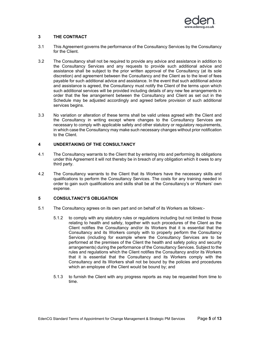

#### **3 THE CONTRACT**

- 3.1 This Agreement governs the performance of the Consultancy Services by the Consultancy for the Client.
- 3.2 The Consultancy shall not be required to provide any advice and assistance in addition to the Consultancy Services and any requests to provide such additional advice and assistance shall be subject to the prior written approval of the Consultancy (at its sole discretion) and agreement between the Consultancy and the Client as to the level of fees payable for such additional advice and assistance. In the event that such additional advice and assistance is agreed, the Consultancy must notify the Client of the terms upon which such additional services will be provided including details of any new fee arrangements in order that the fee arrangement between the Consultancy and Client as set out in the Schedule may be adjusted accordingly and agreed before provision of such additional services begins.
- 3.3 No variation or alteration of these terms shall be valid unless agreed with the Client and the Consultancy in writing except where changes to the Consultancy Services are necessary to comply with applicable safety and other statutory or regulatory requirements, in which case the Consultancy may make such necessary changes without prior notification to the Client.

# **4 UNDERTAKING OF THE CONSULTANCY**

- 4.1 The Consultancy warrants to the Client that by entering into and performing its obligations under this Agreement it will not thereby be in breach of any obligation which it owes to any third party.
- 4.2 The Consultancy warrants to the Client that its Workers have the necessary skills and qualifications to perform the Consultancy Services. The costs for any training needed in order to gain such qualifications and skills shall be at the Consultancy's or Workers' own expense.

#### **5 CONSULTANCY'S OBLIGATION**

- 5.1 The Consultancy agrees on its own part and on behalf of its Workers as follows:-
	- 5.1.2 to comply with any statutory rules or regulations including but not limited to those relating to health and safety, together with such procedures of the Client as the Client notifies the Consultancy and/or its Workers that it is essential that the Consultancy and its Workers comply with to properly perform the Consultancy Services (including for example where the Consultancy Services are to be performed at the premises of the Client the health and safety policy and security arrangements) during the performance of the Consultancy Services. Subject to the rules and regulations which the Client notifies the Consultancy and/or its Workers that it is essential that the Consultancy and its Workers comply with the Consultancy and its Workers shall not be bound by the policies and procedures which an employee of the Client would be bound by; and
	- 5.1.3 to furnish the Client with any progress reports as may be requested from time to time.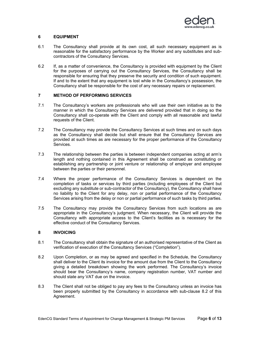

#### **6 EQUIPMENT**

- 6.1 The Consultancy shall provide at its own cost, all such necessary equipment as is reasonable for the satisfactory performance by the Worker and any substitutes and subcontractors of the Consultancy Services.
- 6.2 If, as a matter of convenience, the Consultancy is provided with equipment by the Client for the purposes of carrying out the Consultancy Services, the Consultancy shall be responsible for ensuring that they preserve the security and condition of such equipment. If and to the extent that any equipment is lost while in the Consultancy's possession, the Consultancy shall be responsible for the cost of any necessary repairs or replacement.

#### **7 METHOD OF PERFORMING SERVICES**

- 7.1 The Consultancy's workers are professionals who will use their own initiative as to the manner in which the Consultancy Services are delivered provided that in doing so the Consultancy shall co-operate with the Client and comply with all reasonable and lawful requests of the Client.
- 7.2 The Consultancy may provide the Consultancy Services at such times and on such days as the Consultancy shall decide but shall ensure that the Consultancy Services are provided at such times as are necessary for the proper performance of the Consultancy Services.
- 7.3 The relationship between the parties is between independent companies acting at arm's length and nothing contained in this Agreement shall be construed as constituting or establishing any partnership or joint venture or relationship of employer and employee between the parties or their personnel.
- 7.4 Where the proper performance of the Consultancy Services is dependent on the completion of tasks or services by third parties (including employees of the Client but excluding any substitute or sub-contractor of the Consultancy), the Consultancy shall have no liability to the Client for any delay, non or partial performance of the Consultancy Services arising from the delay or non or partial performance of such tasks by third parties.
- 7.5 The Consultancy may provide the Consultancy Services from such locations as are appropriate in the Consultancy's judgment. When necessary, the Client will provide the Consultancy with appropriate access to the Client's facilities as is necessary for the effective conduct of the Consultancy Services.

#### **8 INVOICING**

- 8.1 The Consultancy shall obtain the signature of an authorised representative of the Client as verification of execution of the Consultancy Services ("Completion").
- 8.2 Upon Completion, or as may be agreed and specified in the Schedule, the Consultancy shall deliver to the Client its invoice for the amount due from the Client to the Consultancy giving a detailed breakdown showing the work performed. The Consultancy's invoice should bear the Consultancy's name, company registration number, VAT number and should state any VAT due on the invoice.
- 8.3 The Client shall not be obliged to pay any fees to the Consultancy unless an invoice has been properly submitted by the Consultancy in accordance with sub-clause 8.2 of this Agreement.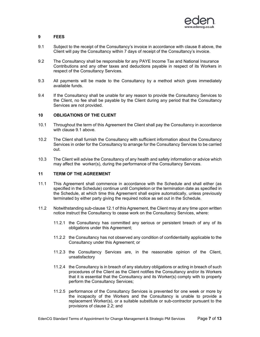

### **9 FEES**

- 9.1 Subject to the receipt of the Consultancy's invoice in accordance with clause 8 above, the Client will pay the Consultancy within 7 days of receipt of the Consultancy's invoice.
- 9.2 The Consultancy shall be responsible for any PAYE Income Tax and National Insurance Contributions and any other taxes and deductions payable in respect of its Workers in respect of the Consultancy Services.
- 9.3 All payments will be made to the Consultancy by a method which gives immediately available funds.
- 9.4 If the Consultancy shall be unable for any reason to provide the Consultancy Services to the Client, no fee shall be payable by the Client during any period that the Consultancy Services are not provided.

#### **10 OBLIGATIONS OF THE CLIENT**

- 10.1 Throughout the term of this Agreement the Client shall pay the Consultancy in accordance with clause 9.1 above.
- 10.2 The Client shall furnish the Consultancy with sufficient information about the Consultancy Services in order for the Consultancy to arrange for the Consultancy Services to be carried out.
- 10.3 The Client will advise the Consultancy of any health and safety information or advice which may affect the worker(s), during the performance of the Consultancy Services.

#### **11 TERM OF THE AGREEMENT**

- 11.1 This Agreement shall commence in accordance with the Schedule and shall either (as specified in the Schedule) continue until Completion or the termination date as specified in the Schedule, at which time this Agreement shall expire automatically, unless previously terminated by either party giving the required notice as set out in the Schedule.
- 11.2 Notwithstanding sub-clause 12.1 of this Agreement, the Client may at any time upon written notice instruct the Consultancy to cease work on the Consultancy Services, where:
	- 11.2.1 the Consultancy has committed any serious or persistent breach of any of its obligations under this Agreement;
	- 11.2.2 the Consultancy has not observed any condition of confidentiality applicable to the Consultancy under this Agreement; or
	- 11.2.3 the Consultancy Services are, in the reasonable opinion of the Client, unsatisfactory
	- 11.2.4 the Consultancy is in breach of any statutory obligations or acting in breach of such procedures of the Client as the Client notifies the Consultancy and/or its Workers that it is essential that the Consultancy and its Worker(s) comply with to properly perform the Consultancy Services;
	- 11.2.5 performance of the Consultancy Services is prevented for one week or more by the incapacity of the Workers and the Consultancy is unable to provide a replacement Worker(s), or a suitable substitute or sub-contractor pursuant to the provisions of clause 2.2; and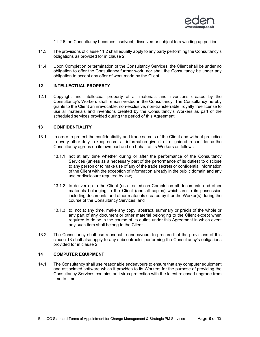

11.2.6 the Consultancy becomes insolvent, dissolved or subject to a winding up petition.

- 11.3 The provisions of clause 11.2 shall equally apply to any party performing the Consultancy's obligations as provided for in clause 2.
- 11.4 Upon Completion or termination of the Consultancy Services, the Client shall be under no obligation to offer the Consultancy further work, nor shall the Consultancy be under any obligation to accept any offer of work made by the Client.

#### **12 INTELLECTUAL PROPERTY**

12.1 Copyright and intellectual property of all materials and inventions created by the Consultancy's Workers shall remain vested in the Consultancy. The Consultancy hereby grants to the Client an irrevocable, non-exclusive, non-transferrable royalty free license to use all materials and inventions created by the Consultancy's Workers as part of the scheduled services provided during the period of this Agreement.

#### **13 CONFIDENTIALITY**

- 13.1 In order to protect the confidentiality and trade secrets of the Client and without prejudice to every other duty to keep secret all information given to it or gained in confidence the Consultancy agrees on its own part and on behalf of its Workers as follows:-
	- 13.1.1 not at any time whether during or after the performance of the Consultancy Services (unless as a necessary part of the performance of its duties) to disclose to any person or to make use of any of the trade secrets or confidential information of the Client with the exception of information already in the public domain and any use or disclosure required by law;
	- 13.1.2 to deliver up to the Client (as directed) on Completion all documents and other materials belonging to the Client (and all copies) which are in its possession including documents and other materials created by it or the Worker(s) during the course of the Consultancy Services; and
	- 13.1.3 to, not at any time, make any copy, abstract, summary or précis of the whole or any part of any document or other material belonging to the Client except when required to do so in the course of its duties under this Agreement in which event any such item shall belong to the Client.
- 13.2 The Consultancy shall use reasonable endeavours to procure that the provisions of this clause 13 shall also apply to any subcontractor performing the Consultancy's obligations provided for in clause 2.

#### **14 COMPUTER EQUIPMENT**

14.1 The Consultancy shall use reasonable endeavours to ensure that any computer equipment and associated software which it provides to its Workers for the purpose of providing the Consultancy Services contains anti-virus protection with the latest released upgrade from time to time.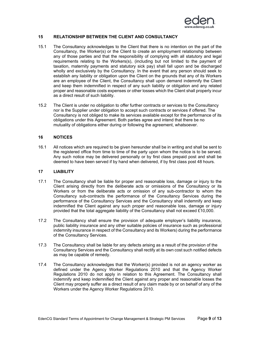

#### **15 RELATIONSHIP BETWEEN THE CLIENT AND CONSULTANCY**

- 15.1 The Consultancy acknowledges to the Client that there is no intention on the part of the Consultancy, the Worker(s) or the Client to create an employment relationship between any of those parties and that the responsibility of complying with all statutory and legal requirements relating to the Workers(s), (including but not limited to the payment of taxation, maternity payments and statutory sick pay) shall fall upon and be discharged wholly and exclusively by the Consultancy. In the event that any person should seek to establish any liability or obligation upon the Client on the grounds that any of its Workers are an employee of the Client, the Consultancy shall upon demand indemnify the Client and keep them indemnified in respect of any such liability or obligation and any related proper and reasonable costs expenses or other losses which the Client shall properly incur as a direct result of such liability.
- 15.2 The Client is under no obligation to offer further contracts or services to the Consultancy nor is the Supplier under obligation to accept such contracts or services if offered. The Consultancy is not obliged to make its services available except for the performance of its obligations under this Agreement. Both parties agree and intend that there be no mutuality of obligations either during or following the agreement, whatsoever.

#### **16 NOTICES**

16.1 All notices which are required to be given hereunder shall be in writing and shall be sent to the registered office from time to time of the party upon whom the notice is to be served. Any such notice may be delivered personally or by first class prepaid post and shall be deemed to have been served if by hand when delivered, if by first class post 48 hours.

#### **17 LIABILITY**

- 17.1 The Consultancy shall be liable for proper and reasonable loss, damage or injury to the Client arising directly from the deliberate acts or omissions of the Consultancy or its Workers or from the deliberate acts or omission of any sub-contractor to whom the Consultancy sub-contracts the performance of the Consultancy Services during the performance of the Consultancy Services and the Consultancy shall indemnify and keep indemnified the Client against any such proper and reasonable loss, damage or injury provided that the total aggregate liability of the Consultancy shall not exceed £10,000.
- 17.2 The Consultancy shall ensure the provision of adequate employer's liability insurance, public liability insurance and any other suitable policies of insurance such as professional indemnity insurance in respect of the Consultancy and its Workers) during the performance of the Consultancy Services.
- 17.3 The Consultancy shall be liable for any defects arising as a result of the provision of the Consultancy Services and the Consultancy shall rectify at its own cost such notified defects as may be capable of remedy.
- 17.4 The Consultancy acknowledges that the Worker(s) provided is not an agency worker as defined under the Agency Worker Regulations 2010 and that the Agency Worker Regulations 2010 do not apply in relation to this Agreement. The Consultancy shall indemnify and keep indemnified the Client against any proper and reasonable losses the Client may properly suffer as a direct result of any claim made by or on behalf of any of the Workers under the Agency Worker Regulations 2010.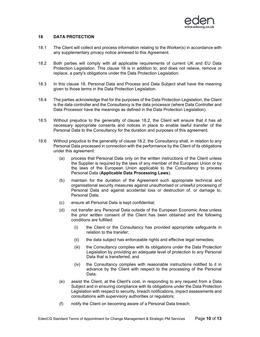

#### **18 DATA PROTECTION**

- 18.1 The Client will collect and process information relating to the Worker(s) in accordance with any supplementary privacy notice annexed to this Agreement.
- 18.2 Both parties will comply with all applicable requirements of current UK and EU Data Protection Legislation. This clause 18 is in addition to, and does not relieve, remove or replace, a party's obligations under the Data Protection Legislation.
- 18.3 In this clause 18, Personal Data and Process and Data Subject shall have the meaning given to those terms in the Data Protection Legislation.
- 18.4 The parties acknowledge that for the purposes of the Data Protection Legislation, the Client is the data controller and the Consultancy is the data processor (where Data Controller and Data Processor have the meanings as defined in the Data Protection Legislation).
- 18.5 Without prejudice to the generality of clause 18.2, the Client will ensure that it has all necessary appropriate consents and notices in place to enable lawful transfer of the Personal Data to the Consultancy for the duration and purposes of this agreement.
- 18.6 Without prejudice to the generality of clause 18.2, the Consultancy shall, in relation to any Personal Data processed in connection with the performance by the Client of its obligations under this agreement:
	- (a) process that Personal Data only on the written instructions of the Client unless the Supplier is required by the laws of any member of the European Union or by the laws of the European Union applicable to the Consultancy to process Personal Data (**Applicable Data Processing Laws**);
	- (b) maintain for the duration of the Agreement such appropriate technical and organisational security measures against unauthorised or unlawful processing of Personal Data and against accidental loss or destruction of, or damage to, Personal Data;
	- (c) ensure all Personal Data is kept confidential;
	- (d) not transfer any Personal Data outside of the European Economic Area unless the prior written consent of the Client has been obtained and the following conditions are fulfilled:
		- (i) the Client or the Consultancy has provided appropriate safeguards in relation to the transfer;
		- (ii) the data subject has enforceable rights and effective legal remedies;
		- (iii) the Consultancy complies with its obligations under the Data Protection Legislation by providing an adequate level of protection to any Personal Data that is transferred; and
		- (iv) the Consultancy complies with reasonable instructions notified to it in advance by the Client with respect to the processing of the Personal Data;
	- (e) assist the Client, at the Client's cost, in responding to any request from a Data Subject and in ensuring compliance with its obligations under the Data Protection Legislation with respect to security, breach notifications, impact assessments and consultations with supervisory authorities or regulators;
	- (f) notify the Client on becoming aware of a Personal Data breach;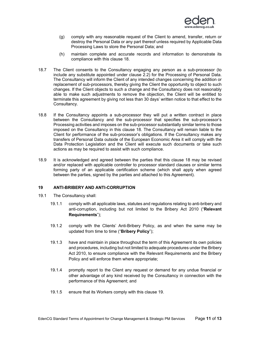

- (g) comply with any reasonable request of the Client to amend, transfer, return or destroy the Personal Data or any part thereof unless required by Applicable Data Processing Laws to store the Personal Data; and
- (h) maintain complete and accurate records and information to demonstrate its compliance with this clause 18.
- 18.7 The Client consents to the Consultancy engaging any person as a sub-processor (to include any substitute appointed under clause 2.2) for the Processing of Personal Data. The Consultancy will inform the Client of any intended changes concerning the addition or replacement of sub-processors, thereby giving the Client the opportunity to object to such changes. If the Client objects to such a change and the Consultancy does not reasonably able to make such adjustments to remove the objection, the Client will be entitled to terminate this agreement by giving not less than 30 days' written notice to that effect to the Consultancy.
- 18.8 If the Consultancy appoints a sub-processor they will put a written contract in place between the Consultancy and the sub-processor that specifies the sub-processor's Processing activities and imposes on the sub-processor substantially similar terms to those imposed on the Consultancy in this clause 18. The Consultancy will remain liable to the Client for performance of the sub-processor's obligations. If the Consultancy makes any transfers of Personal Data outside of the European Economic Area it will comply with the Data Protection Legislation and the Client will execute such documents or take such actions as may be required to assist with such compliance.
- 18.9 It is acknowledged and agreed between the parties that this clause 18 may be revised and/or replaced with applicable controller to processor standard clauses or similar terms forming party of an applicable certification scheme (which shall apply when agreed between the parties, signed by the parties and attached to this Agreement).

#### **19 ANTI-BRIBERY AND ANTI-CORRUPTION**

- 19.1 The Consultancy shall:
	- 19.1.1 comply with all applicable laws, statutes and regulations relating to anti-bribery and anti-corruption, including but not limited to the Bribery Act 2010 ("**Relevant Requirements**");
	- 19.1.2 comply with the Clients' Anti-Bribery Policy, as and when the same may be updated from time to time ("**Bribery Policy**");
	- 19.1.3 have and maintain in place throughout the term of this Agreement its own policies and procedures, including but not limited to adequate procedures under the Bribery Act 2010, to ensure compliance with the Relevant Requirements and the Bribery Policy and will enforce them where appropriate;
	- 19.1.4 promptly report to the Client any request or demand for any undue financial or other advantage of any kind received by the Consultancy in connection with the performance of this Agreement; and
	- 19.1.5 ensure that its Workers comply with this clause 19.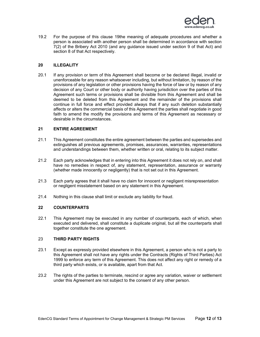

19.2 For the purpose of this clause 19the meaning of adequate procedures and whether a person is associated with another person shall be determined in accordance with section 7(2) of the Bribery Act 2010 (and any guidance issued under section 9 of that Act) and section 8 of that Act respectively.

#### **20 ILLEGALITY**

20.1 If any provision or term of this Agreement shall become or be declared illegal, invalid or unenforceable for any reason whatsoever including, but without limitation, by reason of the provisions of any legislation or other provisions having the force of law or by reason of any decision of any Court or other body or authority having jurisdiction over the parties of this Agreement such terms or provisions shall be divisible from this Agreement and shall be deemed to be deleted from this Agreement and the remainder of the provisions shall continue in full force and effect provided always that if any such deletion substantially affects or alters the commercial basis of this Agreement the parties shall negotiate in good faith to amend the modify the provisions and terms of this Agreement as necessary or desirable in the circumstances.

#### **21 ENTIRE AGREEMENT**

- 21.1 This Agreement constitutes the entire agreement between the parties and supersedes and extinguishes all previous agreements, promises, assurances, warranties, representations and understandings between them, whether written or oral, relating to its subject matter.
- 21.2 Each party acknowledges that in entering into this Agreement it does not rely on, and shall have no remedies in respect of, any statement, representation, assurance or warranty (whether made innocently or negligently) that is not set out in this Agreement.
- 21.3 Each party agrees that it shall have no claim for innocent or negligent misrepresentation or negligent misstatement based on any statement in this Agreement.
- 21.4 Nothing in this clause shall limit or exclude any liability for fraud.

#### **22 COUNTERPARTS**

22.1 This Agreement may be executed in any number of counterparts, each of which, when executed and delivered, shall constitute a duplicate original, but all the counterparts shall together constitute the one agreement.

#### 23 **THIRD PARTY RIGHTS**

- 23.1 Except as expressly provided elsewhere in this Agreement, a person who is not a party to this Agreement shall not have any rights under the Contracts (Rights of Third Parties) Act 1999 to enforce any term of this Agreement. This does not affect any right or remedy of a third party which exists, or is available, apart from that Act.
- 23.2 The rights of the parties to terminate, rescind or agree any variation, waiver or settlement under this Agreement are not subject to the consent of any other person.